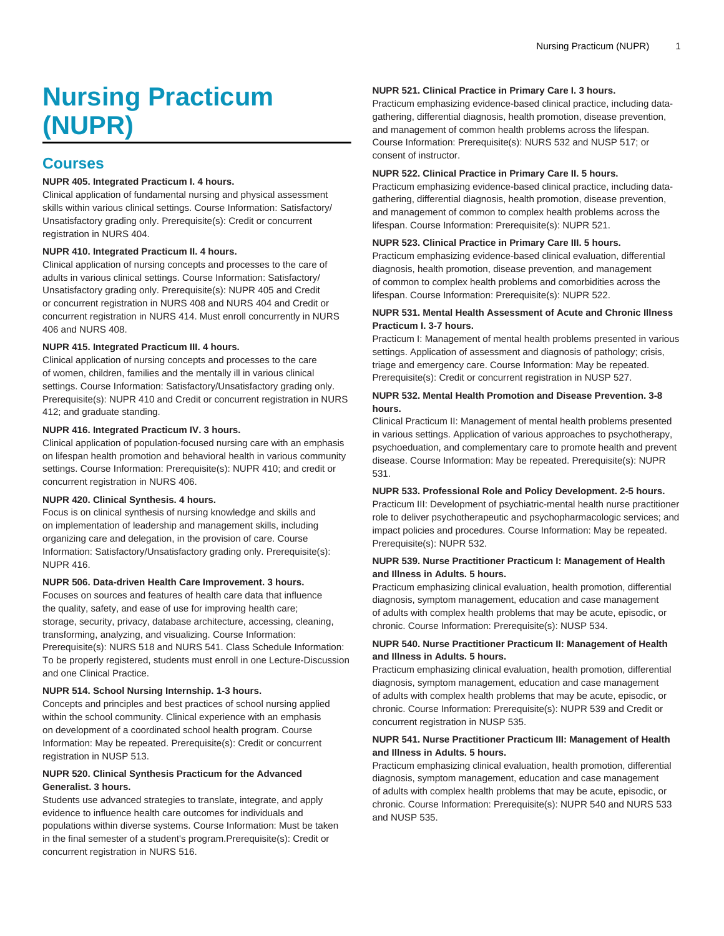# **Nursing Practicum (NUPR)**

## **Courses**

## **NUPR 405. Integrated Practicum I. 4 hours.**

Clinical application of fundamental nursing and physical assessment skills within various clinical settings. Course Information: Satisfactory/ Unsatisfactory grading only. Prerequisite(s): Credit or concurrent registration in NURS 404.

## **NUPR 410. Integrated Practicum II. 4 hours.**

Clinical application of nursing concepts and processes to the care of adults in various clinical settings. Course Information: Satisfactory/ Unsatisfactory grading only. Prerequisite(s): NUPR 405 and Credit or concurrent registration in NURS 408 and NURS 404 and Credit or concurrent registration in NURS 414. Must enroll concurrently in NURS 406 and NURS 408.

## **NUPR 415. Integrated Practicum III. 4 hours.**

Clinical application of nursing concepts and processes to the care of women, children, families and the mentally ill in various clinical settings. Course Information: Satisfactory/Unsatisfactory grading only. Prerequisite(s): NUPR 410 and Credit or concurrent registration in NURS 412; and graduate standing.

#### **NUPR 416. Integrated Practicum IV. 3 hours.**

Clinical application of population-focused nursing care with an emphasis on lifespan health promotion and behavioral health in various community settings. Course Information: Prerequisite(s): NUPR 410; and credit or concurrent registration in NURS 406.

## **NUPR 420. Clinical Synthesis. 4 hours.**

Focus is on clinical synthesis of nursing knowledge and skills and on implementation of leadership and management skills, including organizing care and delegation, in the provision of care. Course Information: Satisfactory/Unsatisfactory grading only. Prerequisite(s): NUPR 416.

#### **NUPR 506. Data-driven Health Care Improvement. 3 hours.**

Focuses on sources and features of health care data that influence the quality, safety, and ease of use for improving health care; storage, security, privacy, database architecture, accessing, cleaning, transforming, analyzing, and visualizing. Course Information: Prerequisite(s): NURS 518 and NURS 541. Class Schedule Information: To be properly registered, students must enroll in one Lecture-Discussion and one Clinical Practice.

#### **NUPR 514. School Nursing Internship. 1-3 hours.**

Concepts and principles and best practices of school nursing applied within the school community. Clinical experience with an emphasis on development of a coordinated school health program. Course Information: May be repeated. Prerequisite(s): Credit or concurrent registration in NUSP 513.

## **NUPR 520. Clinical Synthesis Practicum for the Advanced Generalist. 3 hours.**

Students use advanced strategies to translate, integrate, and apply evidence to influence health care outcomes for individuals and populations within diverse systems. Course Information: Must be taken in the final semester of a student's program.Prerequisite(s): Credit or concurrent registration in NURS 516.

## **NUPR 521. Clinical Practice in Primary Care I. 3 hours.**

Practicum emphasizing evidence-based clinical practice, including datagathering, differential diagnosis, health promotion, disease prevention, and management of common health problems across the lifespan. Course Information: Prerequisite(s): NURS 532 and NUSP 517; or consent of instructor.

#### **NUPR 522. Clinical Practice in Primary Care II. 5 hours.**

Practicum emphasizing evidence-based clinical practice, including datagathering, differential diagnosis, health promotion, disease prevention, and management of common to complex health problems across the lifespan. Course Information: Prerequisite(s): NUPR 521.

## **NUPR 523. Clinical Practice in Primary Care III. 5 hours.**

Practicum emphasizing evidence-based clinical evaluation, differential diagnosis, health promotion, disease prevention, and management of common to complex health problems and comorbidities across the lifespan. Course Information: Prerequisite(s): NUPR 522.

## **NUPR 531. Mental Health Assessment of Acute and Chronic Illness Practicum I. 3-7 hours.**

Practicum I: Management of mental health problems presented in various settings. Application of assessment and diagnosis of pathology; crisis, triage and emergency care. Course Information: May be repeated. Prerequisite(s): Credit or concurrent registration in NUSP 527.

## **NUPR 532. Mental Health Promotion and Disease Prevention. 3-8 hours.**

Clinical Practicum II: Management of mental health problems presented in various settings. Application of various approaches to psychotherapy, psychoeduation, and complementary care to promote health and prevent disease. Course Information: May be repeated. Prerequisite(s): NUPR 531.

#### **NUPR 533. Professional Role and Policy Development. 2-5 hours.**

Practicum III: Development of psychiatric-mental health nurse practitioner role to deliver psychotherapeutic and psychopharmacologic services; and impact policies and procedures. Course Information: May be repeated. Prerequisite(s): NUPR 532.

#### **NUPR 539. Nurse Practitioner Practicum I: Management of Health and Illness in Adults. 5 hours.**

Practicum emphasizing clinical evaluation, health promotion, differential diagnosis, symptom management, education and case management of adults with complex health problems that may be acute, episodic, or chronic. Course Information: Prerequisite(s): NUSP 534.

## **NUPR 540. Nurse Practitioner Practicum II: Management of Health and Illness in Adults. 5 hours.**

Practicum emphasizing clinical evaluation, health promotion, differential diagnosis, symptom management, education and case management of adults with complex health problems that may be acute, episodic, or chronic. Course Information: Prerequisite(s): NUPR 539 and Credit or concurrent registration in NUSP 535.

## **NUPR 541. Nurse Practitioner Practicum III: Management of Health and Illness in Adults. 5 hours.**

Practicum emphasizing clinical evaluation, health promotion, differential diagnosis, symptom management, education and case management of adults with complex health problems that may be acute, episodic, or chronic. Course Information: Prerequisite(s): NUPR 540 and NURS 533 and NUSP 535.